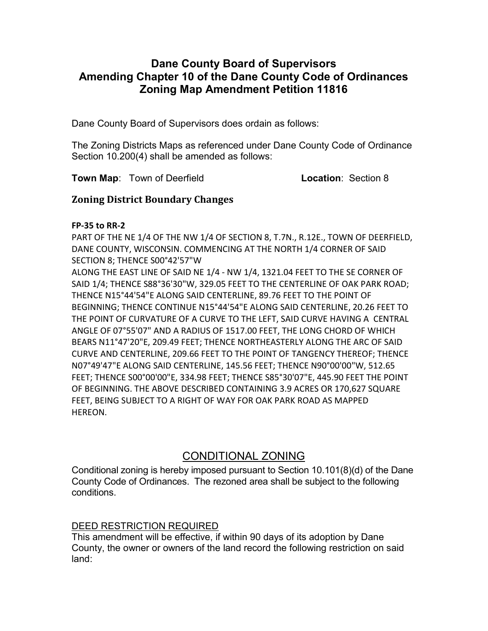## Dane County Board of Supervisors Amending Chapter 10 of the Dane County Code of Ordinances Zoning Map Amendment Petition 11816

Dane County Board of Supervisors does ordain as follows:

The Zoning Districts Maps as referenced under Dane County Code of Ordinance Section 10.200(4) shall be amended as follows:

**Town Map:** Town of Deerfield **Location:** Section 8

### Zoning District Boundary Changes

### FP-35 to RR-2

PART OF THE NE 1/4 OF THE NW 1/4 OF SECTION 8, T.7N., R.12E., TOWN OF DEERFIELD, DANE COUNTY, WISCONSIN. COMMENCING AT THE NORTH 1/4 CORNER OF SAID SECTION 8; THENCE S00°42'57"W

ALONG THE EAST LINE OF SAID NE 1/4 - NW 1/4, 1321.04 FEET TO THE SE CORNER OF SAID 1/4; THENCE S88°36'30"W, 329.05 FEET TO THE CENTERLINE OF OAK PARK ROAD; THENCE N15°44'54"E ALONG SAID CENTERLINE, 89.76 FEET TO THE POINT OF BEGINNING; THENCE CONTINUE N15°44'54"E ALONG SAID CENTERLINE, 20.26 FEET TO THE POINT OF CURVATURE OF A CURVE TO THE LEFT, SAID CURVE HAVING A CENTRAL ANGLE OF 07°55'07" AND A RADIUS OF 1517.00 FEET, THE LONG CHORD OF WHICH BEARS N11°47'20"E, 209.49 FEET; THENCE NORTHEASTERLY ALONG THE ARC OF SAID CURVE AND CENTERLINE, 209.66 FEET TO THE POINT OF TANGENCY THEREOF; THENCE N07°49'47"E ALONG SAID CENTERLINE, 145.56 FEET; THENCE N90°00'00"W, 512.65 FEET; THENCE S00°00'00"E, 334.98 FEET; THENCE S85°30'07"E, 445.90 FEET THE POINT OF BEGINNING. THE ABOVE DESCRIBED CONTAINING 3.9 ACRES OR 170,627 SQUARE FEET, BEING SUBJECT TO A RIGHT OF WAY FOR OAK PARK ROAD AS MAPPED HEREON.

# CONDITIONAL ZONING

Conditional zoning is hereby imposed pursuant to Section 10.101(8)(d) of the Dane County Code of Ordinances. The rezoned area shall be subject to the following conditions.

### DEED RESTRICTION REQUIRED

This amendment will be effective, if within 90 days of its adoption by Dane County, the owner or owners of the land record the following restriction on said land: